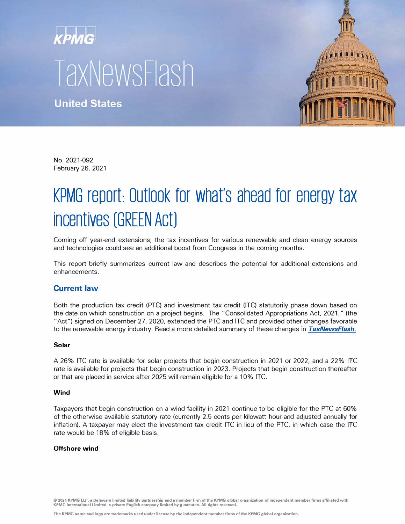# **TaxNewsFlash**

**United States** 



No. 2021-092 February 26, 2021

# KPMG report: Outlook for what's ahead for energy tax **incentives (GREEN Act)**

Coming off year-end extensions, the tax incentives for various renewable and clean energy sources and technologies could see an additional boost from Congress in the coming months.

This report briefly summarizes current law and describes the potential for additional extensions and enhancements.

# **Current law**

Both the production tax credit (PTC) and investment tax credit (ITC) statutorily phase down based on the date on which construction on a project begins. The "Consolidated Appropriations Act, 2021," (the "Act") signed on December 27, 2020, extended the PTC and ITC and provided other changes favorable to the renewable energy industry. Read a more detailed summary of these changes in *[TaxNewsFlash.](https://home.kpmg/us/en/home/insights/2020/12/tnf-favorable-tax-provisions-renewable-energy-industry-enacted.html)*

### **Solar**

A 26% ITC rate is available for solar projects that begin construction in 2021 or 2022, and a 22% ITC rate is available for projects that begin construction in 2023. Projects that begin construction thereafter or that are placed in service after 2025 will remain eligible for a 10% ITC.

### **Wind**

Taxpayers that begin construction on a wind facility in 2021 continue to be eligible for the PTC at 60% of the otherwise available statutory rate (currently 2.5 cents per kilowatt hour and adjusted annually for inflation). A taxpayer may elect the investment tax credit ITC in lieu of the PTC, in which case the ITC rate would be 18% of eligible basis.

### **Offshore wind**

**© 2021 KPMG LLP, a Delaware limited liability partnership and a member firm of the KPMG global organization of independent member firms affiliated with KPMG International Limited, a private English company limited by guarantee. All rights reserved.**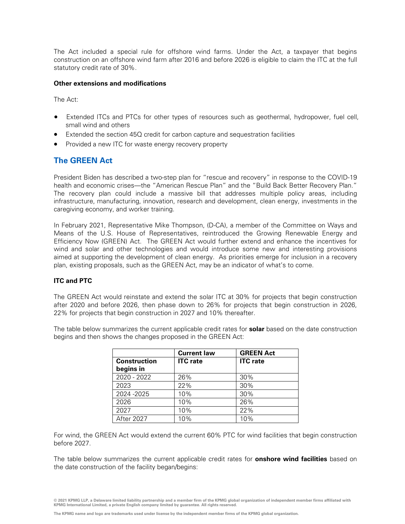The Act included a special rule for offshore wind farms. Under the Act, a taxpayer that begins construction on an offshore wind farm after 2016 and before 2026 is eligible to claim the ITC at the full statutory credit rate of 30%.

## **Other extensions and modifications**

The Act:

- Extended ITCs and PTCs for other types of resources such as geothermal, hydropower, fuel cell, small wind and others
- Extended the section 45Q credit for carbon capture and sequestration facilities
- Provided a new ITC for waste energy recovery property

# **The GREEN Act**

President Biden has described a two-step plan for "rescue and recovery" in response to the COVID-19 health and economic crises—the "American Rescue Plan" and the "Build Back Better Recovery Plan." The recovery plan could include a massive bill that addresses multiple policy areas, including infrastructure, manufacturing, innovation, research and development, clean energy, investments in the caregiving economy, and worker training.

In February 2021, Representative Mike Thompson, (D-CA), a member of the Committee on Ways and Means of the U.S. House of Representatives, reintroduced the Growing Renewable Energy and Efficiency Now (GREEN) Act. The GREEN Act would further extend and enhance the incentives for wind and solar and other technologies and would introduce some new and interesting provisions aimed at supporting the development of clean energy. As priorities emerge for inclusion in a recovery plan, existing proposals, such as the GREEN Act, may be an indicator of what's to come.

# **ITC and PTC**

The GREEN Act would reinstate and extend the solar ITC at 30% for projects that begin construction after 2020 and before 2026, then phase down to 26% for projects that begin construction in 2026, 22% for projects that begin construction in 2027 and 10% thereafter.

The table below summarizes the current applicable credit rates for **solar** based on the date construction begins and then shows the changes proposed in the GREEN Act:

|                     | <b>Current law</b> | <b>GREEN Act</b> |
|---------------------|--------------------|------------------|
| <b>Construction</b> | <b>ITC</b> rate    | <b>ITC</b> rate  |
| begins in           |                    |                  |
| 2020 - 2022         | 26%                | 30%              |
| 2023                | 22%                | 30%              |
| 2024 - 2025         | 10%                | 30%              |
| 2026                | 10%                | 26%              |
| 2027                | 10%                | 22%              |
| After 2027          | 10%                | 10%              |

For wind, the GREEN Act would extend the current 60% PTC for wind facilities that begin construction before 2027.

The table below summarizes the current applicable credit rates for **onshore wind facilities** based on the date construction of the facility began/begins:

**<sup>© 2021</sup> KPMG LLP, a Delaware limited liability partnership and a member firm of the KPMG global organization of independent member firms affiliated with KPMG International Limited, a private English company limited by guarantee. All rights reserved.**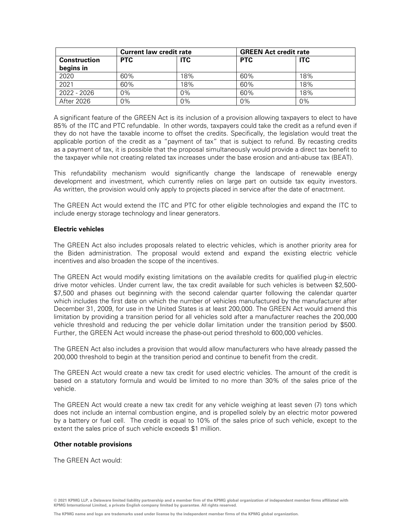|                     | <b>Current law credit rate</b> |            |            | <b>GREEN Act credit rate</b> |  |
|---------------------|--------------------------------|------------|------------|------------------------------|--|
| <b>Construction</b> | <b>PTC</b>                     | <b>ITC</b> | <b>PTC</b> | <b>ITC</b>                   |  |
| begins in           |                                |            |            |                              |  |
| 2020                | 60%                            | 18%        | 60%        | 18%                          |  |
| 2021                | 60%                            | 18%        | 60%        | 18%                          |  |
| 2022 - 2026         | 0%                             | $0\%$      | 60%        | 18%                          |  |
| After 2026          | 0%                             | $0\%$      | 0%         | 0%                           |  |

A significant feature of the GREEN Act is its inclusion of a provision allowing taxpayers to elect to have 85% of the ITC and PTC refundable. In other words, taxpayers could take the credit as a refund even if they do not have the taxable income to offset the credits. Specifically, the legislation would treat the applicable portion of the credit as a "payment of tax" that is subject to refund. By recasting credits as a payment of tax, it is possible that the proposal simultaneously would provide a direct tax benefit to the taxpayer while not creating related tax increases under the base erosion and anti-abuse tax (BEAT).

This refundability mechanism would significantly change the landscape of renewable energy development and investment, which currently relies on large part on outside tax equity investors. As written, the provision would only apply to projects placed in service after the date of enactment.

The GREEN Act would extend the ITC and PTC for other eligible technologies and expand the ITC to include energy storage technology and linear generators.

#### **Electric vehicles**

The GREEN Act also includes proposals related to electric vehicles, which is another priority area for the Biden administration. The proposal would extend and expand the existing electric vehicle incentives and also broaden the scope of the incentives.

The GREEN Act would modify existing limitations on the available credits for qualified plug-in electric drive motor vehicles. Under current law, the tax credit available for such vehicles is between \$2,500- \$7,500 and phases out beginning with the second calendar quarter following the calendar quarter which includes the first date on which the number of vehicles manufactured by the manufacturer after December 31, 2009, for use in the United States is at least 200,000. The GREEN Act would amend this limitation by providing a transition period for all vehicles sold after a manufacturer reaches the 200,000 vehicle threshold and reducing the per vehicle dollar limitation under the transition period by \$500. Further, the GREEN Act would increase the phase-out period threshold to 600,000 vehicles.

The GREEN Act also includes a provision that would allow manufacturers who have already passed the 200,000 threshold to begin at the transition period and continue to benefit from the credit.

The GREEN Act would create a new tax credit for used electric vehicles. The amount of the credit is based on a statutory formula and would be limited to no more than 30% of the sales price of the vehicle.

The GREEN Act would create a new tax credit for any vehicle weighing at least seven (7) tons which does not include an internal combustion engine, and is propelled solely by an electric motor powered by a battery or fuel cell. The credit is equal to 10% of the sales price of such vehicle, except to the extent the sales price of such vehicle exceeds \$1 million.

### **Other notable provisions**

The GREEN Act would:

**© 2021 KPMG LLP, a Delaware limited liability partnership and a member firm of the KPMG global organization of independent member firms affiliated with KPMG International Limited, a private English company limited by guarantee. All rights reserved.**